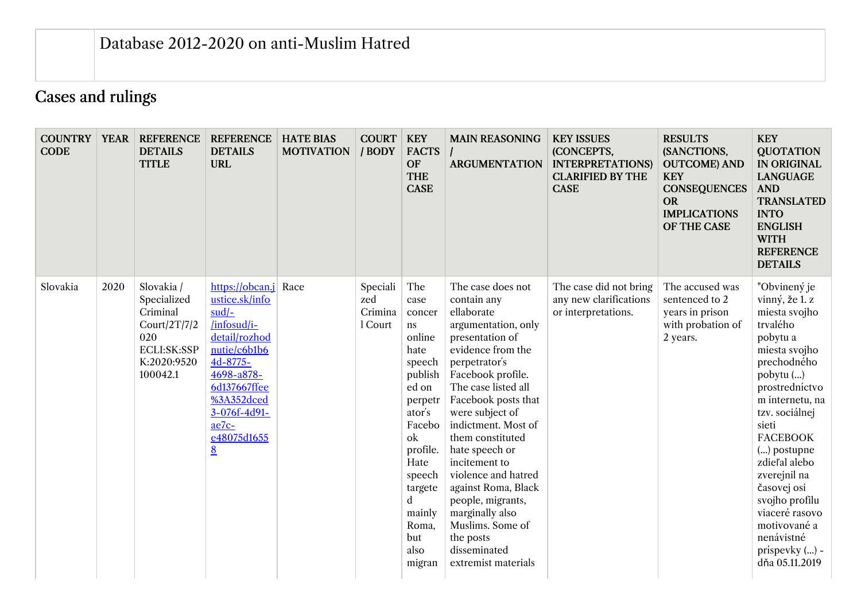## Cases and rulings

| <b>COUNTRY</b><br><b>CODE</b> | <b>YEAR</b> | <b>REFERENCE</b><br><b>DETAILS</b><br><b>TITLE</b>                                                     | <b>REFERENCE</b><br><b>DETAILS</b><br><b>URL</b>                                                                                                                                                  | <b>HATE BIAS</b><br><b>MOTIVATION</b> | <b>COURT</b><br>/ BODY                | <b>KEY</b><br><b>FACTS</b><br><b>OF</b><br><b>THE</b><br><b>CASE</b>                                                                                                                                                 | <b>MAIN REASONING</b><br><b>ARGUMENTATION</b>                                                                                                                                                                                                                                                                                                                                                                                                                    | <b>KEY ISSUES</b><br>(CONCEPTS,<br><b>INTERPRETATIONS)</b><br><b>CLARIFIED BY THE</b><br><b>CASE</b> | <b>RESULTS</b><br>(SANCTIONS,<br><b>OUTCOME) AND</b><br><b>KEY</b><br><b>CONSEQUENCES</b><br><b>OR</b><br><b>IMPLICATIONS</b><br>OF THE CASE | <b>KEY</b><br><b>QUOTATION</b><br><b>IN ORIGINAL</b><br><b>LANGUAGE</b><br><b>AND</b><br><b>TRANSLATED</b><br><b>INTO</b><br><b>ENGLISH</b><br><b>WITH</b><br><b>REFERENCE</b><br><b>DETAILS</b>                                                                                                                                                                                 |
|-------------------------------|-------------|--------------------------------------------------------------------------------------------------------|---------------------------------------------------------------------------------------------------------------------------------------------------------------------------------------------------|---------------------------------------|---------------------------------------|----------------------------------------------------------------------------------------------------------------------------------------------------------------------------------------------------------------------|------------------------------------------------------------------------------------------------------------------------------------------------------------------------------------------------------------------------------------------------------------------------------------------------------------------------------------------------------------------------------------------------------------------------------------------------------------------|------------------------------------------------------------------------------------------------------|----------------------------------------------------------------------------------------------------------------------------------------------|----------------------------------------------------------------------------------------------------------------------------------------------------------------------------------------------------------------------------------------------------------------------------------------------------------------------------------------------------------------------------------|
| Slovakia                      | 2020        | Slovakia /<br>Specialized<br>Criminal<br>Court/2T/7/2<br>020<br>ECLI:SK:SSP<br>K:2020:9520<br>100042.1 | https://obcan.j<br>ustice.sk/info<br>$sud$ -<br>/infosud/i-<br>detail/rozhod<br>nutie/c6b1b6<br>4d-8775-<br>4698-a878-<br>6d137667ffee<br>%3A352dced<br>3-076f-4d91-<br>ae7c-<br>e48075d1655<br>8 | Race                                  | Speciali<br>zed<br>Crimina<br>l Court | The<br>case<br>concer<br>ns<br>online<br>hate<br>speech<br>publish<br>ed on<br>perpetr<br>ator's<br>Facebo<br>ok<br>profile.<br>Hate<br>speech<br>targete<br>$\mathbf d$<br>mainly<br>Roma,<br>but<br>also<br>migran | The case does not<br>contain any<br>ellaborate<br>argumentation, only<br>presentation of<br>evidence from the<br>perpetrator's<br>Facebook profile.<br>The case listed all<br>Facebook posts that<br>were subject of<br>indictment. Most of<br>them constituted<br>hate speech or<br>incitement to<br>violence and hatred<br>against Roma, Black<br>people, migrants,<br>marginally also<br>Muslims. Some of<br>the posts<br>disseminated<br>extremist materials | The case did not bring<br>any new clarifications<br>or interpretations.                              | The accused was<br>sentenced to 2<br>years in prison<br>with probation of<br>2 years.                                                        | "Obvinený je<br>vinný, že 1. z<br>miesta svojho<br>trvalého<br>pobytu a<br>miesta svojho<br>prechodného<br>pobytu ()<br>prostredníctvo<br>m internetu, na<br>tzv. sociálnej<br>sieti<br><b>FACEBOOK</b><br>$()$ postupne<br>zdieľal alebo<br>zverejnil na<br>časovej osi<br>svojho profilu<br>viaceré rasovo<br>motivované a<br>nenávistné<br>$prispevky$ () -<br>dňa 05.11.2019 |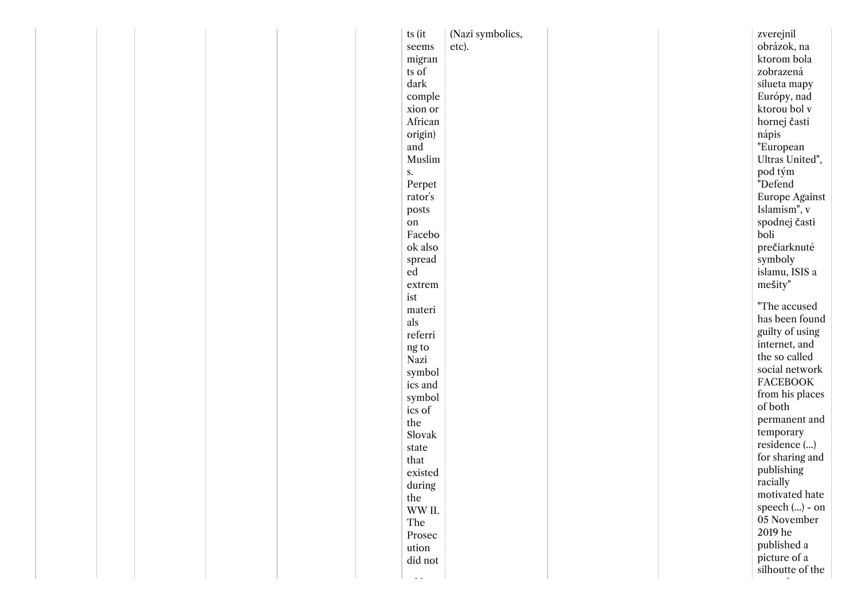|  |  | ts (it        |         | (Nazi symbolics, |  | zverejnil        |
|--|--|---------------|---------|------------------|--|------------------|
|  |  | seems         |         | etc).            |  | obrázok, na      |
|  |  |               | migran  |                  |  | ktorom bola      |
|  |  | ts of         |         |                  |  | zobrazená        |
|  |  | dark          |         |                  |  | silueta mapy     |
|  |  |               | comple  |                  |  | Európy, nad      |
|  |  |               | xion or |                  |  | ktorou bol v     |
|  |  |               | African |                  |  | hornej časti     |
|  |  |               | origin) |                  |  | nápis            |
|  |  | and           |         |                  |  | "European        |
|  |  |               | Muslim  |                  |  | Ultras United",  |
|  |  | s.            |         |                  |  | pod tým          |
|  |  |               | Perpet  |                  |  | "Defend          |
|  |  | rator's       |         |                  |  | Europe Against   |
|  |  | posts         |         |                  |  | Islamism", v     |
|  |  | ${\rm on}$    |         |                  |  | spodnej časti    |
|  |  |               | Facebo  |                  |  | boli             |
|  |  |               | ok also |                  |  | prečiarknuté     |
|  |  |               |         |                  |  | symboly          |
|  |  | ed            | spread  |                  |  | islamu, ISIS a   |
|  |  |               |         |                  |  | mešity"          |
|  |  | ist           | extrem  |                  |  |                  |
|  |  |               |         |                  |  | "The accused     |
|  |  | als           | materi  |                  |  | has been found   |
|  |  |               | referri |                  |  | guilty of using  |
|  |  |               |         |                  |  | internet, and    |
|  |  | ng to<br>Nazi |         |                  |  | the so called    |
|  |  |               |         |                  |  | social network   |
|  |  |               | symbol  |                  |  | <b>FACEBOOK</b>  |
|  |  |               | ics and |                  |  | from his places  |
|  |  |               | symbol  |                  |  | of both          |
|  |  | ics of        |         |                  |  | permanent and    |
|  |  | the           |         |                  |  | temporary        |
|  |  |               | Slovak  |                  |  | residence ()     |
|  |  | state         |         |                  |  | for sharing and  |
|  |  | that          |         |                  |  | publishing       |
|  |  |               | existed |                  |  | racially         |
|  |  |               | during  |                  |  | motivated hate   |
|  |  | the           |         |                  |  | speech () - on   |
|  |  |               | WW II.  |                  |  | 05 November      |
|  |  | The           |         |                  |  | 2019 he          |
|  |  |               | Prosec  |                  |  | published a      |
|  |  | ution         |         |                  |  | picture of a     |
|  |  |               | did not |                  |  |                  |
|  |  |               |         |                  |  | silhoutte of the |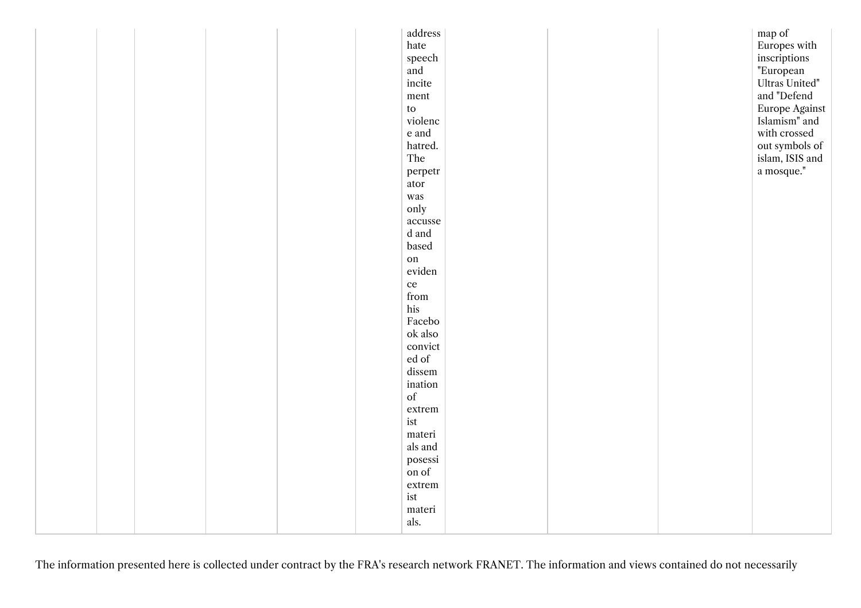|  |  |  | address                                                     |  | map of               |  |
|--|--|--|-------------------------------------------------------------|--|----------------------|--|
|  |  |  | hate                                                        |  | Europes with         |  |
|  |  |  | speech                                                      |  | inscriptions         |  |
|  |  |  | and                                                         |  | "European            |  |
|  |  |  | incite                                                      |  | Ultras United"       |  |
|  |  |  | $\mathop{\rm ment}\nolimits$                                |  | and "Defend          |  |
|  |  |  | $\mathop{\mathrm{to}}$                                      |  | Europe Against       |  |
|  |  |  | violenc                                                     |  | Islamism" and        |  |
|  |  |  | e and                                                       |  | with crossed         |  |
|  |  |  | hatred.                                                     |  | out symbols of       |  |
|  |  |  | The                                                         |  | islam, ISIS and      |  |
|  |  |  | perpetr                                                     |  | $\,$ a mosque." $\,$ |  |
|  |  |  | ator                                                        |  |                      |  |
|  |  |  | was                                                         |  |                      |  |
|  |  |  | only                                                        |  |                      |  |
|  |  |  | $\,$ accusse                                                |  |                      |  |
|  |  |  | d and                                                       |  |                      |  |
|  |  |  | based                                                       |  |                      |  |
|  |  |  | on                                                          |  |                      |  |
|  |  |  | eviden                                                      |  |                      |  |
|  |  |  | $\rm ce$                                                    |  |                      |  |
|  |  |  | from                                                        |  |                      |  |
|  |  |  | his                                                         |  |                      |  |
|  |  |  | Facebo                                                      |  |                      |  |
|  |  |  | ok also                                                     |  |                      |  |
|  |  |  | convict                                                     |  |                      |  |
|  |  |  | ${\rm ed}$ of                                               |  |                      |  |
|  |  |  | dissem                                                      |  |                      |  |
|  |  |  | ination                                                     |  |                      |  |
|  |  |  | $% \left( \left( \mathcal{A},\mathcal{A}\right) \right)$ of |  |                      |  |
|  |  |  | extrem                                                      |  |                      |  |
|  |  |  | ist                                                         |  |                      |  |
|  |  |  | materi                                                      |  |                      |  |
|  |  |  | als and                                                     |  |                      |  |
|  |  |  | posessi                                                     |  |                      |  |
|  |  |  | on of                                                       |  |                      |  |
|  |  |  | extrem                                                      |  |                      |  |
|  |  |  | ist                                                         |  |                      |  |
|  |  |  | materi                                                      |  |                      |  |
|  |  |  | als.                                                        |  |                      |  |
|  |  |  |                                                             |  |                      |  |

The information presented here is collected under contract by the FRA's research network FRANET. The information and views contained do not necessarily